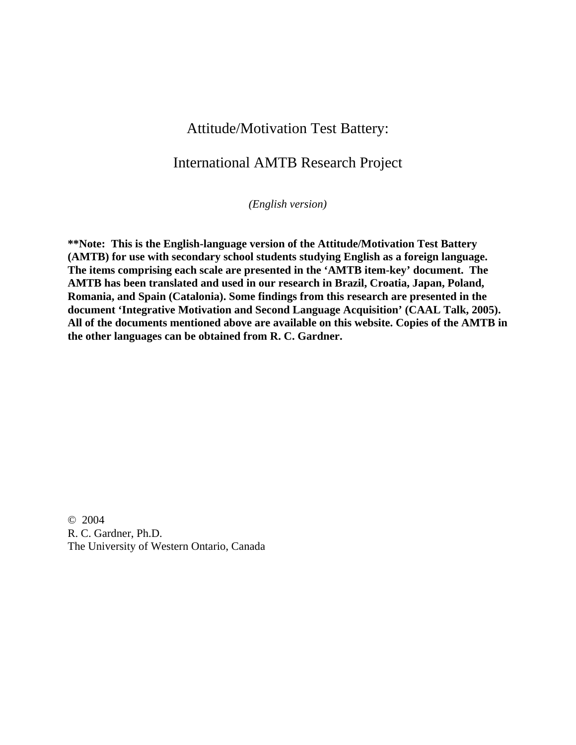## Attitude/Motivation Test Battery:

## International AMTB Research Project

*(English version)* 

**\*\*Note: This is the English-language version of the Attitude/Motivation Test Battery (AMTB) for use with secondary school students studying English as a foreign language. The items comprising each scale are presented in the 'AMTB item-key' document. The AMTB has been translated and used in our research in Brazil, Croatia, Japan, Poland, Romania, and Spain (Catalonia). Some findings from this research are presented in the document 'Integrative Motivation and Second Language Acquisition' (CAAL Talk, 2005). All of the documents mentioned above are available on this website. Copies of the AMTB in the other languages can be obtained from R. C. Gardner.** 

© 2004 R. C. Gardner, Ph.D. The University of Western Ontario, Canada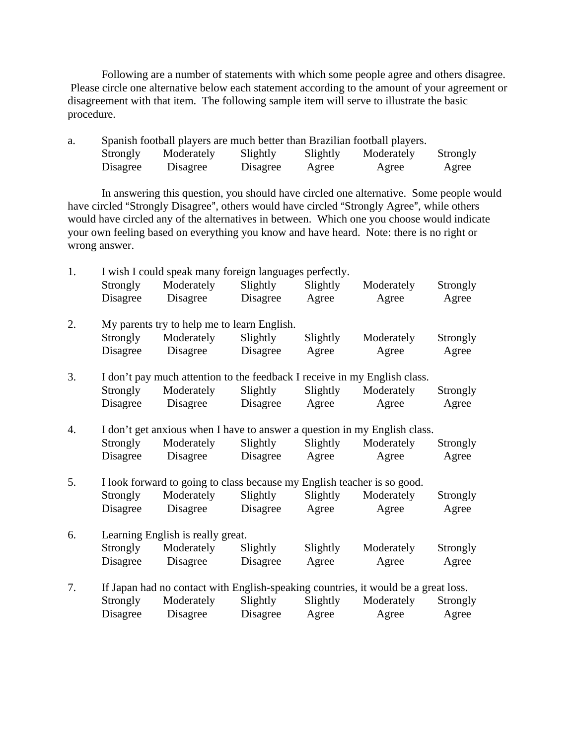Following are a number of statements with which some people agree and others disagree. Please circle one alternative below each statement according to the amount of your agreement or disagreement with that item. The following sample item will serve to illustrate the basic procedure.

| a. | Spanish football players are much better than Brazilian football players. |            |          |          |            |          |
|----|---------------------------------------------------------------------------|------------|----------|----------|------------|----------|
|    | Strongly                                                                  | Moderately | Slightly | Slightly | Moderately | Strongly |
|    | Disagree                                                                  | Disagree   | Disagree | Agree    | Agree      | Agree    |

In answering this question, you should have circled one alternative. Some people would have circled "Strongly Disagree", others would have circled "Strongly Agree", while others would have circled any of the alternatives in between. Which one you choose would indicate your own feeling based on everything you know and have heard. Note: there is no right or wrong answer.

| 1. | I wish I could speak many foreign languages perfectly.                  |                                                                                    |                         |          |            |          |  |
|----|-------------------------------------------------------------------------|------------------------------------------------------------------------------------|-------------------------|----------|------------|----------|--|
|    | Strongly                                                                | Moderately                                                                         | Slightly                | Slightly | Moderately | Strongly |  |
|    | Disagree                                                                | Disagree                                                                           | Disagree                | Agree    | Agree      | Agree    |  |
| 2. |                                                                         | My parents try to help me to learn English.                                        |                         |          |            |          |  |
|    | Strongly                                                                | Moderately                                                                         | Slightly                | Slightly | Moderately | Strongly |  |
|    | Disagree                                                                | Disagree                                                                           | Disagree                | Agree    | Agree      | Agree    |  |
| 3. |                                                                         | I don't pay much attention to the feedback I receive in my English class.          |                         |          |            |          |  |
|    | Strongly                                                                | Moderately                                                                         | Slightly                | Slightly | Moderately | Strongly |  |
|    | Disagree                                                                |                                                                                    | Disagree Disagree Agree |          | Agree      | Agree    |  |
| 4. |                                                                         | I don't get anxious when I have to answer a question in my English class.          |                         |          |            |          |  |
|    | Strongly                                                                | Moderately                                                                         | Slightly                | Slightly | Moderately | Strongly |  |
|    | Disagree                                                                | Disagree                                                                           | Disagree                | Agree    | Agree      | Agree    |  |
| 5. | I look forward to going to class because my English teacher is so good. |                                                                                    |                         |          |            |          |  |
|    | Strongly                                                                | Moderately                                                                         | Slightly                | Slightly | Moderately | Strongly |  |
|    | Disagree                                                                | Disagree Disagree Agree                                                            |                         |          | Agree      | Agree    |  |
| 6. | Learning English is really great.                                       |                                                                                    |                         |          |            |          |  |
|    | Strongly                                                                | Moderately                                                                         | Slightly                | Slightly | Moderately | Strongly |  |
|    | Disagree                                                                | Disagree Disagree                                                                  |                         | Agree    | Agree      | Agree    |  |
| 7. |                                                                         | If Japan had no contact with English-speaking countries, it would be a great loss. |                         |          |            |          |  |
|    | Strongly                                                                | Moderately                                                                         | Slightly                | Slightly | Moderately | Strongly |  |
|    | Disagree                                                                | Disagree                                                                           | Disagree                | Agree    | Agree      | Agree    |  |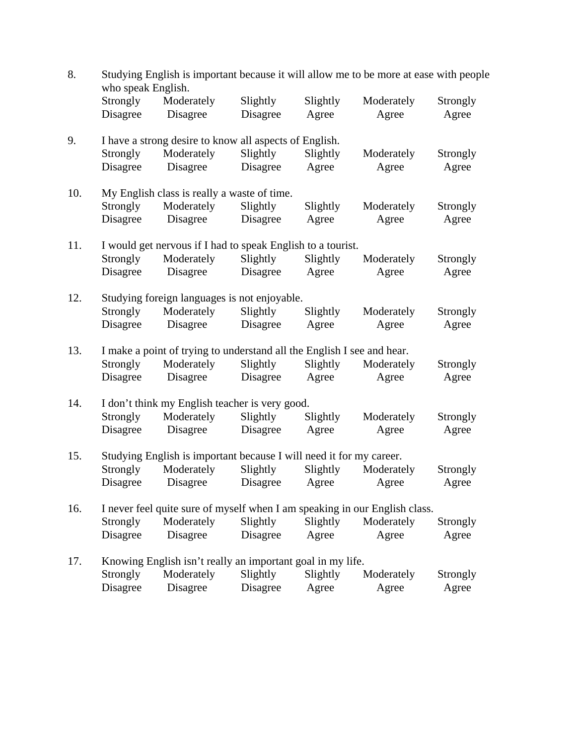| 8.  | Studying English is important because it will allow me to be more at ease with people<br>who speak English. |                                                                            |          |          |            |          |  |  |
|-----|-------------------------------------------------------------------------------------------------------------|----------------------------------------------------------------------------|----------|----------|------------|----------|--|--|
|     | Strongly                                                                                                    | Moderately                                                                 | Slightly | Slightly | Moderately | Strongly |  |  |
|     | Disagree                                                                                                    | Disagree                                                                   | Disagree | Agree    | Agree      | Agree    |  |  |
| 9.  | I have a strong desire to know all aspects of English.                                                      |                                                                            |          |          |            |          |  |  |
|     | Strongly                                                                                                    | Moderately                                                                 | Slightly | Slightly | Moderately | Strongly |  |  |
|     | Disagree                                                                                                    | Disagree                                                                   | Disagree | Agree    | Agree      | Agree    |  |  |
| 10. |                                                                                                             | My English class is really a waste of time.                                |          |          |            |          |  |  |
|     | Strongly                                                                                                    | Moderately                                                                 | Slightly | Slightly | Moderately | Strongly |  |  |
|     | Disagree                                                                                                    | Disagree                                                                   | Disagree | Agree    | Agree      | Agree    |  |  |
| 11. |                                                                                                             | I would get nervous if I had to speak English to a tourist.                |          |          |            |          |  |  |
|     | Strongly                                                                                                    | Moderately                                                                 | Slightly | Slightly | Moderately | Strongly |  |  |
|     | Disagree                                                                                                    | Disagree                                                                   | Disagree | Agree    | Agree      | Agree    |  |  |
| 12. |                                                                                                             | Studying foreign languages is not enjoyable.                               |          |          |            |          |  |  |
|     | Strongly                                                                                                    | Moderately                                                                 | Slightly | Slightly | Moderately | Strongly |  |  |
|     | Disagree                                                                                                    | Disagree                                                                   | Disagree | Agree    | Agree      | Agree    |  |  |
| 13. |                                                                                                             | I make a point of trying to understand all the English I see and hear.     |          |          |            |          |  |  |
|     | Strongly                                                                                                    | Moderately                                                                 | Slightly | Slightly | Moderately | Strongly |  |  |
|     | Disagree                                                                                                    | Disagree                                                                   | Disagree | Agree    | Agree      | Agree    |  |  |
| 14. | I don't think my English teacher is very good.                                                              |                                                                            |          |          |            |          |  |  |
|     | Strongly                                                                                                    | Moderately                                                                 | Slightly | Slightly | Moderately | Strongly |  |  |
|     | Disagree                                                                                                    | Disagree                                                                   | Disagree | Agree    | Agree      | Agree    |  |  |
| 15. |                                                                                                             | Studying English is important because I will need it for my career.        |          |          |            |          |  |  |
|     | <b>Strongly</b>                                                                                             | Moderately                                                                 | Slightly | Slightly | Moderately | Strongly |  |  |
|     | Disagree                                                                                                    | Disagree                                                                   | Disagree | Agree    | Agree      | Agree    |  |  |
| 16. |                                                                                                             | I never feel quite sure of myself when I am speaking in our English class. |          |          |            |          |  |  |
|     | Strongly                                                                                                    | Moderately                                                                 | Slightly | Slightly | Moderately | Strongly |  |  |
|     | Disagree                                                                                                    | Disagree                                                                   | Disagree | Agree    | Agree      | Agree    |  |  |
| 17. |                                                                                                             | Knowing English isn't really an important goal in my life.                 |          |          |            |          |  |  |
|     | Strongly                                                                                                    | Moderately                                                                 | Slightly | Slightly | Moderately | Strongly |  |  |
|     | Disagree                                                                                                    | Disagree                                                                   | Disagree | Agree    | Agree      | Agree    |  |  |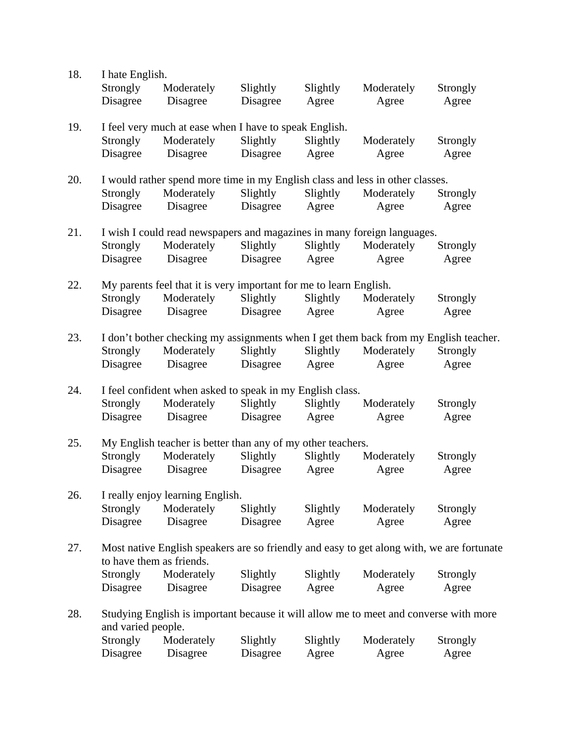| 18. | I hate English.                                             |                                                                    |          |          |                                                                                           |          |  |
|-----|-------------------------------------------------------------|--------------------------------------------------------------------|----------|----------|-------------------------------------------------------------------------------------------|----------|--|
|     | Strongly                                                    | Moderately                                                         | Slightly | Slightly | Moderately                                                                                | Strongly |  |
|     | Disagree                                                    | Disagree                                                           | Disagree | Agree    | Agree                                                                                     | Agree    |  |
|     |                                                             |                                                                    |          |          |                                                                                           |          |  |
| 19. |                                                             | I feel very much at ease when I have to speak English.             |          |          |                                                                                           |          |  |
|     | Strongly                                                    | Moderately                                                         | Slightly | Slightly | Moderately                                                                                | Strongly |  |
|     | Disagree                                                    | Disagree                                                           | Disagree | Agree    | Agree                                                                                     | Agree    |  |
|     |                                                             |                                                                    |          |          |                                                                                           |          |  |
| 20. |                                                             |                                                                    |          |          | I would rather spend more time in my English class and less in other classes.             |          |  |
|     | Strongly                                                    | Moderately                                                         | Slightly | Slightly | Moderately                                                                                | Strongly |  |
|     | Disagree                                                    | Disagree                                                           | Disagree | Agree    | Agree                                                                                     | Agree    |  |
|     |                                                             |                                                                    |          |          |                                                                                           |          |  |
| 21. |                                                             |                                                                    |          |          | I wish I could read newspapers and magazines in many foreign languages.                   |          |  |
|     | Strongly                                                    | Moderately                                                         | Slightly | Slightly | Moderately                                                                                | Strongly |  |
|     | Disagree                                                    | Disagree                                                           | Disagree | Agree    | Agree                                                                                     | Agree    |  |
|     |                                                             |                                                                    |          |          |                                                                                           |          |  |
| 22. |                                                             | My parents feel that it is very important for me to learn English. |          |          |                                                                                           |          |  |
|     | Strongly                                                    | Moderately                                                         | Slightly | Slightly | Moderately                                                                                | Strongly |  |
|     | Disagree                                                    | Disagree                                                           | Disagree | Agree    | Agree                                                                                     | Agree    |  |
|     |                                                             |                                                                    |          |          |                                                                                           |          |  |
| 23. |                                                             |                                                                    |          |          | I don't bother checking my assignments when I get them back from my English teacher.      |          |  |
|     | Strongly                                                    | Moderately                                                         | Slightly | Slightly | Moderately                                                                                | Strongly |  |
|     | Disagree                                                    | Disagree                                                           | Disagree | Agree    | Agree                                                                                     | Agree    |  |
|     |                                                             |                                                                    |          |          |                                                                                           |          |  |
| 24. | I feel confident when asked to speak in my English class.   |                                                                    |          |          |                                                                                           |          |  |
|     | Strongly                                                    | Moderately                                                         | Slightly | Slightly | Moderately                                                                                | Strongly |  |
|     | Disagree                                                    | Disagree                                                           | Disagree | Agree    | Agree                                                                                     | Agree    |  |
|     |                                                             |                                                                    |          |          |                                                                                           |          |  |
| 25. | My English teacher is better than any of my other teachers. |                                                                    |          |          |                                                                                           |          |  |
|     | Strongly                                                    | Moderately                                                         | Slightly | Slightly | Moderately                                                                                | Strongly |  |
|     | Disagree                                                    | Disagree                                                           | Disagree | Agree    | Agree                                                                                     | Agree    |  |
|     |                                                             |                                                                    |          |          |                                                                                           |          |  |
| 26. |                                                             | I really enjoy learning English.                                   |          |          |                                                                                           |          |  |
|     | Strongly                                                    | Moderately                                                         | Slightly | Slightly | Moderately                                                                                | Strongly |  |
|     | Disagree                                                    | Disagree                                                           | Disagree | Agree    | Agree                                                                                     | Agree    |  |
|     |                                                             |                                                                    |          |          |                                                                                           |          |  |
| 27. |                                                             |                                                                    |          |          | Most native English speakers are so friendly and easy to get along with, we are fortunate |          |  |
|     |                                                             | to have them as friends.                                           |          |          |                                                                                           |          |  |
|     | Strongly                                                    | Moderately                                                         | Slightly | Slightly | Moderately                                                                                | Strongly |  |
|     | Disagree                                                    | Disagree                                                           | Disagree | Agree    | Agree                                                                                     | Agree    |  |
|     |                                                             |                                                                    |          |          |                                                                                           |          |  |
| 28. |                                                             |                                                                    |          |          | Studying English is important because it will allow me to meet and converse with more     |          |  |
|     | and varied people.                                          |                                                                    |          |          |                                                                                           |          |  |
|     | Strongly                                                    | Moderately                                                         | Slightly | Slightly | Moderately                                                                                | Strongly |  |
|     | Disagree                                                    | Disagree                                                           | Disagree | Agree    | Agree                                                                                     | Agree    |  |
|     |                                                             |                                                                    |          |          |                                                                                           |          |  |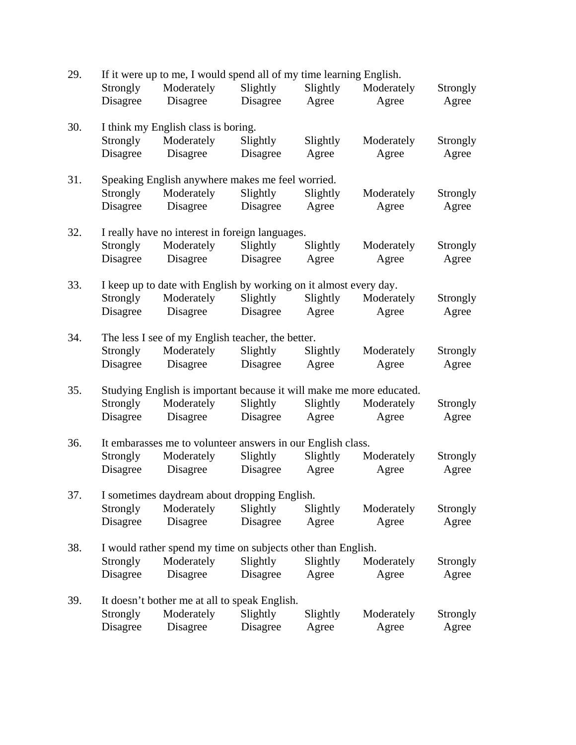| 29. | If it were up to me, I would spend all of my time learning English.  |                                                                   |          |          |            |          |  |
|-----|----------------------------------------------------------------------|-------------------------------------------------------------------|----------|----------|------------|----------|--|
|     | Strongly                                                             | Moderately                                                        | Slightly | Slightly | Moderately | Strongly |  |
|     | Disagree                                                             | Disagree                                                          | Disagree | Agree    | Agree      | Agree    |  |
| 30. |                                                                      | I think my English class is boring.                               |          |          |            |          |  |
|     | <b>Strongly</b>                                                      | Moderately                                                        | Slightly | Slightly | Moderately | Strongly |  |
|     | Disagree                                                             | Disagree                                                          | Disagree | Agree    | Agree      | Agree    |  |
| 31. |                                                                      | Speaking English anywhere makes me feel worried.                  |          |          |            |          |  |
|     | Strongly                                                             | Moderately                                                        | Slightly | Slightly | Moderately | Strongly |  |
|     | Disagree                                                             | Disagree                                                          | Disagree | Agree    | Agree      | Agree    |  |
| 32. |                                                                      | I really have no interest in foreign languages.                   |          |          |            |          |  |
|     | <b>Strongly</b>                                                      | Moderately                                                        | Slightly | Slightly | Moderately | Strongly |  |
|     | Disagree                                                             | Disagree                                                          | Disagree | Agree    | Agree      | Agree    |  |
| 33. |                                                                      | I keep up to date with English by working on it almost every day. |          |          |            |          |  |
|     | <b>Strongly</b>                                                      | Moderately                                                        | Slightly | Slightly | Moderately | Strongly |  |
|     | Disagree                                                             | Disagree                                                          | Disagree | Agree    | Agree      | Agree    |  |
| 34. |                                                                      | The less I see of my English teacher, the better.                 |          |          |            |          |  |
|     | Strongly                                                             | Moderately                                                        | Slightly | Slightly | Moderately | Strongly |  |
|     | Disagree                                                             | Disagree                                                          | Disagree | Agree    | Agree      | Agree    |  |
| 35. | Studying English is important because it will make me more educated. |                                                                   |          |          |            |          |  |
|     | <b>Strongly</b>                                                      | Moderately                                                        | Slightly | Slightly | Moderately | Strongly |  |
|     | Disagree                                                             | Disagree                                                          | Disagree | Agree    | Agree      | Agree    |  |
| 36. | It embarasses me to volunteer answers in our English class.          |                                                                   |          |          |            |          |  |
|     | Strongly                                                             | Moderately                                                        | Slightly | Slightly | Moderately | Strongly |  |
|     | Disagree                                                             | Disagree                                                          | Disagree | Agree    | Agree      | Agree    |  |
| 37. | I sometimes daydream about dropping English.                         |                                                                   |          |          |            |          |  |
|     | Strongly                                                             | Moderately                                                        | Slightly | Slightly | Moderately | Strongly |  |
|     | Disagree                                                             | Disagree                                                          | Disagree | Agree    | Agree      | Agree    |  |
| 38. |                                                                      | I would rather spend my time on subjects other than English.      |          |          |            |          |  |
|     | Strongly                                                             | Moderately                                                        | Slightly | Slightly | Moderately | Strongly |  |
|     | Disagree                                                             | Disagree                                                          | Disagree | Agree    | Agree      | Agree    |  |
| 39. |                                                                      | It doesn't bother me at all to speak English.                     |          |          |            |          |  |
|     | Strongly                                                             | Moderately                                                        | Slightly | Slightly | Moderately | Strongly |  |
|     | Disagree                                                             | Disagree                                                          | Disagree | Agree    | Agree      | Agree    |  |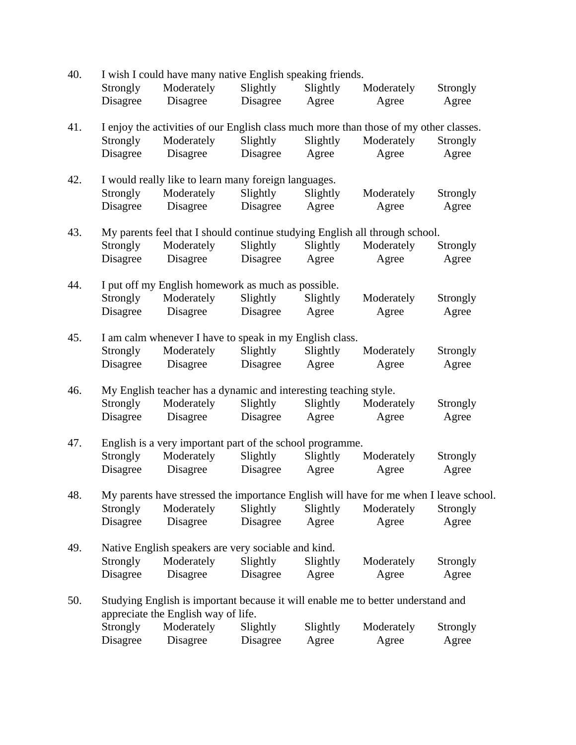| 40. |                                                                  | I wish I could have many native English speaking friends.                             |          |          |            |          |  |  |  |
|-----|------------------------------------------------------------------|---------------------------------------------------------------------------------------|----------|----------|------------|----------|--|--|--|
|     | Strongly                                                         | Moderately                                                                            | Slightly | Slightly | Moderately | Strongly |  |  |  |
|     | Disagree                                                         | Disagree                                                                              | Disagree | Agree    | Agree      | Agree    |  |  |  |
| 41. |                                                                  | I enjoy the activities of our English class much more than those of my other classes. |          |          |            |          |  |  |  |
|     | Strongly                                                         | Moderately                                                                            | Slightly | Slightly | Moderately | Strongly |  |  |  |
|     | Disagree                                                         | Disagree                                                                              | Disagree | Agree    | Agree      | Agree    |  |  |  |
| 42. |                                                                  | I would really like to learn many foreign languages.                                  |          |          |            |          |  |  |  |
|     | Strongly                                                         | Moderately                                                                            | Slightly | Slightly | Moderately | Strongly |  |  |  |
|     | Disagree                                                         | Disagree                                                                              | Disagree | Agree    | Agree      | Agree    |  |  |  |
| 43. |                                                                  | My parents feel that I should continue studying English all through school.           |          |          |            |          |  |  |  |
|     | <b>Strongly</b>                                                  | Moderately                                                                            | Slightly | Slightly | Moderately | Strongly |  |  |  |
|     | Disagree                                                         | Disagree                                                                              | Disagree | Agree    | Agree      | Agree    |  |  |  |
| 44. |                                                                  | I put off my English homework as much as possible.                                    |          |          |            |          |  |  |  |
|     | Strongly                                                         | Moderately                                                                            | Slightly | Slightly | Moderately | Strongly |  |  |  |
|     | Disagree                                                         | Disagree                                                                              | Disagree | Agree    | Agree      | Agree    |  |  |  |
| 45. | I am calm whenever I have to speak in my English class.          |                                                                                       |          |          |            |          |  |  |  |
|     | Strongly                                                         | Moderately                                                                            | Slightly | Slightly | Moderately | Strongly |  |  |  |
|     | Disagree                                                         | Disagree                                                                              | Disagree | Agree    | Agree      | Agree    |  |  |  |
| 46. | My English teacher has a dynamic and interesting teaching style. |                                                                                       |          |          |            |          |  |  |  |
|     | <b>Strongly</b>                                                  | Moderately                                                                            | Slightly | Slightly | Moderately | Strongly |  |  |  |
|     | Disagree                                                         | Disagree                                                                              | Disagree | Agree    | Agree      | Agree    |  |  |  |
| 47. | English is a very important part of the school programme.        |                                                                                       |          |          |            |          |  |  |  |
|     | Strongly                                                         | Moderately                                                                            | Slightly | Slightly | Moderately | Strongly |  |  |  |
|     | Disagree                                                         | Disagree                                                                              | Disagree | Agree    | Agree      | Agree    |  |  |  |
| 48. |                                                                  | My parents have stressed the importance English will have for me when I leave school. |          |          |            |          |  |  |  |
|     | Strongly                                                         | Moderately                                                                            | Slightly | Slightly | Moderately | Strongly |  |  |  |
|     | Disagree                                                         | Disagree                                                                              | Disagree | Agree    | Agree      | Agree    |  |  |  |
| 49. |                                                                  | Native English speakers are very sociable and kind.                                   |          |          |            |          |  |  |  |
|     | Strongly                                                         | Moderately                                                                            | Slightly | Slightly | Moderately | Strongly |  |  |  |
|     | Disagree                                                         | Disagree                                                                              | Disagree | Agree    | Agree      | Agree    |  |  |  |
| 50. |                                                                  | Studying English is important because it will enable me to better understand and      |          |          |            |          |  |  |  |
|     |                                                                  | appreciate the English way of life.                                                   |          |          |            |          |  |  |  |
|     | Strongly                                                         | Moderately                                                                            | Slightly | Slightly | Moderately | Strongly |  |  |  |
|     | Disagree                                                         | Disagree                                                                              | Disagree | Agree    | Agree      | Agree    |  |  |  |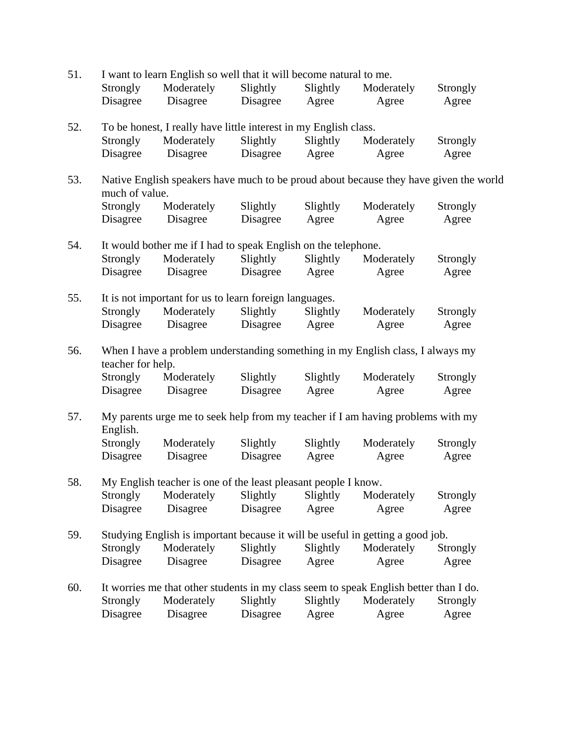| 51. |                                                                                                         | I want to learn English so well that it will become natural to me.                    |          |          |            |          |  |  |  |
|-----|---------------------------------------------------------------------------------------------------------|---------------------------------------------------------------------------------------|----------|----------|------------|----------|--|--|--|
|     | Strongly                                                                                                | Moderately                                                                            | Slightly | Slightly | Moderately | Strongly |  |  |  |
|     | Disagree                                                                                                | Disagree                                                                              | Disagree | Agree    | Agree      | Agree    |  |  |  |
| 52. |                                                                                                         | To be honest, I really have little interest in my English class.                      |          |          |            |          |  |  |  |
|     | Strongly                                                                                                | Moderately                                                                            | Slightly | Slightly | Moderately | Strongly |  |  |  |
|     | Disagree                                                                                                | Disagree                                                                              | Disagree | Agree    | Agree      | Agree    |  |  |  |
| 53. | Native English speakers have much to be proud about because they have given the world<br>much of value. |                                                                                       |          |          |            |          |  |  |  |
|     | Strongly                                                                                                | Moderately                                                                            | Slightly | Slightly | Moderately | Strongly |  |  |  |
|     | Disagree                                                                                                | Disagree                                                                              | Disagree | Agree    | Agree      | Agree    |  |  |  |
| 54. |                                                                                                         | It would bother me if I had to speak English on the telephone.                        |          |          |            |          |  |  |  |
|     | Strongly                                                                                                | Moderately                                                                            | Slightly | Slightly | Moderately | Strongly |  |  |  |
|     | Disagree                                                                                                | Disagree                                                                              | Disagree | Agree    | Agree      | Agree    |  |  |  |
| 55. |                                                                                                         | It is not important for us to learn foreign languages.                                |          |          |            |          |  |  |  |
|     | Strongly                                                                                                | Moderately                                                                            | Slightly | Slightly | Moderately | Strongly |  |  |  |
|     | Disagree                                                                                                | Disagree                                                                              | Disagree | Agree    | Agree      | Agree    |  |  |  |
| 56. | When I have a problem understanding something in my English class, I always my<br>teacher for help.     |                                                                                       |          |          |            |          |  |  |  |
|     | Strongly                                                                                                | Moderately                                                                            | Slightly | Slightly | Moderately | Strongly |  |  |  |
|     | Disagree                                                                                                | Disagree                                                                              | Disagree | Agree    | Agree      | Agree    |  |  |  |
| 57. | My parents urge me to seek help from my teacher if I am having problems with my<br>English.             |                                                                                       |          |          |            |          |  |  |  |
|     | Strongly                                                                                                | Moderately                                                                            | Slightly | Slightly | Moderately | Strongly |  |  |  |
|     | Disagree                                                                                                | Disagree                                                                              | Disagree | Agree    | Agree      | Agree    |  |  |  |
| 58. | My English teacher is one of the least pleasant people I know.                                          |                                                                                       |          |          |            |          |  |  |  |
|     | Strongly                                                                                                | Moderately                                                                            | Slightly | Slightly | Moderately | Strongly |  |  |  |
|     | Disagree                                                                                                | Disagree                                                                              | Disagree | Agree    | Agree      | Agree    |  |  |  |
| 59. |                                                                                                         | Studying English is important because it will be useful in getting a good job.        |          |          |            |          |  |  |  |
|     | Strongly                                                                                                | Moderately                                                                            | Slightly | Slightly | Moderately | Strongly |  |  |  |
|     | Disagree                                                                                                | Disagree                                                                              | Disagree | Agree    | Agree      | Agree    |  |  |  |
| 60. |                                                                                                         | It worries me that other students in my class seem to speak English better than I do. |          |          |            |          |  |  |  |
|     | Strongly                                                                                                | Moderately                                                                            | Slightly | Slightly | Moderately | Strongly |  |  |  |
|     | Disagree                                                                                                | Disagree                                                                              | Disagree | Agree    | Agree      | Agree    |  |  |  |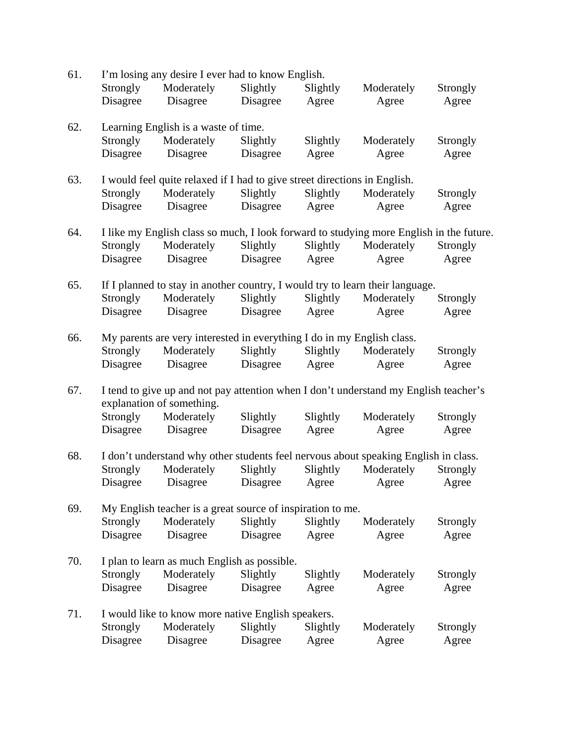| 61. | I'm losing any desire I ever had to know English.                                                                 |                                                                                         |          |          |            |          |  |
|-----|-------------------------------------------------------------------------------------------------------------------|-----------------------------------------------------------------------------------------|----------|----------|------------|----------|--|
|     | Strongly                                                                                                          | Moderately                                                                              | Slightly | Slightly | Moderately | Strongly |  |
|     | Disagree                                                                                                          | Disagree                                                                                | Disagree | Agree    | Agree      | Agree    |  |
| 62. |                                                                                                                   | Learning English is a waste of time.                                                    |          |          |            |          |  |
|     | Strongly                                                                                                          | Moderately                                                                              | Slightly | Slightly | Moderately | Strongly |  |
|     | Disagree                                                                                                          | Disagree                                                                                | Disagree | Agree    | Agree      | Agree    |  |
| 63. |                                                                                                                   | I would feel quite relaxed if I had to give street directions in English.               |          |          |            |          |  |
|     | Strongly                                                                                                          | Moderately                                                                              | Slightly | Slightly | Moderately | Strongly |  |
|     | Disagree                                                                                                          | Disagree                                                                                | Disagree | Agree    | Agree      | Agree    |  |
| 64. |                                                                                                                   | I like my English class so much, I look forward to studying more English in the future. |          |          |            |          |  |
|     | Strongly                                                                                                          | Moderately                                                                              | Slightly | Slightly | Moderately | Strongly |  |
|     | Disagree                                                                                                          | Disagree                                                                                | Disagree | Agree    | Agree      | Agree    |  |
| 65. |                                                                                                                   | If I planned to stay in another country, I would try to learn their language.           |          |          |            |          |  |
|     | Strongly                                                                                                          | Moderately                                                                              | Slightly | Slightly | Moderately | Strongly |  |
|     | Disagree                                                                                                          | Disagree                                                                                | Disagree | Agree    | Agree      | Agree    |  |
| 66. |                                                                                                                   | My parents are very interested in everything I do in my English class.                  |          |          |            |          |  |
|     | <b>Strongly</b>                                                                                                   | Moderately                                                                              | Slightly | Slightly | Moderately | Strongly |  |
|     | Disagree                                                                                                          | Disagree                                                                                | Disagree | Agree    | Agree      | Agree    |  |
| 67. | I tend to give up and not pay attention when I don't understand my English teacher's<br>explanation of something. |                                                                                         |          |          |            |          |  |
|     | Strongly                                                                                                          | Moderately                                                                              | Slightly | Slightly | Moderately | Strongly |  |
|     | Disagree                                                                                                          | Disagree                                                                                | Disagree | Agree    | Agree      | Agree    |  |
| 68. |                                                                                                                   | I don't understand why other students feel nervous about speaking English in class.     |          |          |            |          |  |
|     | Strongly                                                                                                          | Moderately                                                                              | Slightly | Slightly | Moderately | Strongly |  |
|     | Disagree                                                                                                          | Disagree                                                                                | Disagree | Agree    | Agree      | Agree    |  |
| 69. | My English teacher is a great source of inspiration to me.                                                        |                                                                                         |          |          |            |          |  |
|     | Strongly                                                                                                          | Moderately                                                                              | Slightly | Slightly | Moderately | Strongly |  |
|     | Disagree                                                                                                          | Disagree                                                                                | Disagree | Agree    | Agree      | Agree    |  |
| 70. |                                                                                                                   | I plan to learn as much English as possible.                                            |          |          |            |          |  |
|     | Strongly                                                                                                          | Moderately                                                                              | Slightly | Slightly | Moderately | Strongly |  |
|     | Disagree                                                                                                          | Disagree                                                                                | Disagree | Agree    | Agree      | Agree    |  |
| 71. |                                                                                                                   | I would like to know more native English speakers.                                      |          |          |            |          |  |
|     | Strongly                                                                                                          | Moderately                                                                              | Slightly | Slightly | Moderately | Strongly |  |
|     | Disagree                                                                                                          | Disagree                                                                                | Disagree | Agree    | Agree      | Agree    |  |
|     |                                                                                                                   |                                                                                         |          |          |            |          |  |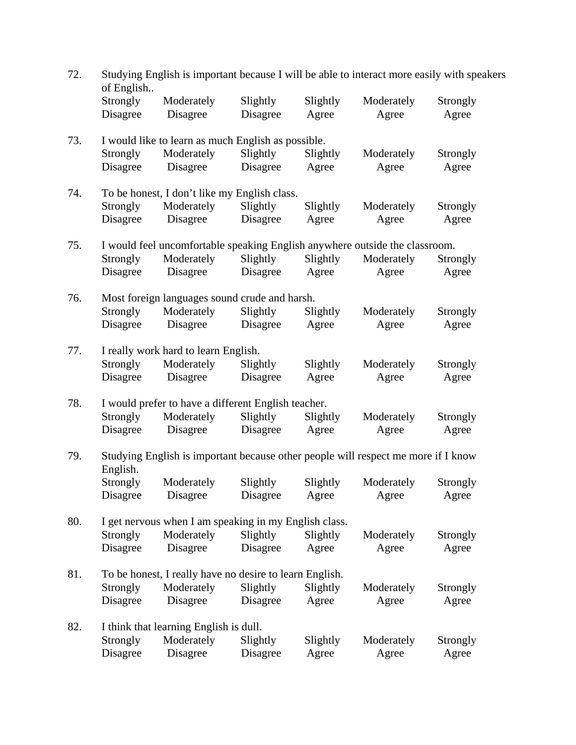| 72. | Studying English is important because I will be able to interact more easily with speakers<br>of English |                                                                             |          |          |            |          |  |  |
|-----|----------------------------------------------------------------------------------------------------------|-----------------------------------------------------------------------------|----------|----------|------------|----------|--|--|
|     | Strongly                                                                                                 | Moderately                                                                  | Slightly | Slightly | Moderately | Strongly |  |  |
|     | Disagree                                                                                                 | Disagree                                                                    | Disagree | Agree    | Agree      | Agree    |  |  |
| 73. |                                                                                                          | I would like to learn as much English as possible.                          |          |          |            |          |  |  |
|     | Strongly                                                                                                 | Moderately                                                                  | Slightly | Slightly | Moderately | Strongly |  |  |
|     | Disagree                                                                                                 | Disagree                                                                    | Disagree | Agree    | Agree      | Agree    |  |  |
| 74. | To be honest, I don't like my English class.                                                             |                                                                             |          |          |            |          |  |  |
|     | <b>Strongly</b>                                                                                          | Moderately                                                                  | Slightly | Slightly | Moderately | Strongly |  |  |
|     | Disagree                                                                                                 | Disagree                                                                    | Disagree | Agree    | Agree      | Agree    |  |  |
| 75. |                                                                                                          | I would feel uncomfortable speaking English anywhere outside the classroom. |          |          |            |          |  |  |
|     | <b>Strongly</b>                                                                                          | Moderately                                                                  | Slightly | Slightly | Moderately | Strongly |  |  |
|     | Disagree                                                                                                 | Disagree                                                                    | Disagree | Agree    | Agree      | Agree    |  |  |
| 76. |                                                                                                          | Most foreign languages sound crude and harsh.                               |          |          |            |          |  |  |
|     | Strongly                                                                                                 | Moderately                                                                  | Slightly | Slightly | Moderately | Strongly |  |  |
|     | Disagree                                                                                                 | Disagree                                                                    | Disagree | Agree    | Agree      | Agree    |  |  |
| 77. |                                                                                                          | I really work hard to learn English.                                        |          |          |            |          |  |  |
|     | Strongly                                                                                                 | Moderately                                                                  | Slightly | Slightly | Moderately | Strongly |  |  |
|     | Disagree                                                                                                 | Disagree                                                                    | Disagree | Agree    | Agree      | Agree    |  |  |
| 78. | I would prefer to have a different English teacher.                                                      |                                                                             |          |          |            |          |  |  |
|     | <b>Strongly</b>                                                                                          | Moderately                                                                  | Slightly | Slightly | Moderately | Strongly |  |  |
|     | Disagree                                                                                                 | Disagree                                                                    | Disagree | Agree    | Agree      | Agree    |  |  |
| 79. | Studying English is important because other people will respect me more if I know<br>English.            |                                                                             |          |          |            |          |  |  |
|     | Strongly                                                                                                 | Moderately                                                                  | Slightly | Slightly | Moderately | Strongly |  |  |
|     | Disagree                                                                                                 | Disagree                                                                    | Disagree | Agree    | Agree      | Agree    |  |  |
| 80. |                                                                                                          | I get nervous when I am speaking in my English class.                       |          |          |            |          |  |  |
|     | Strongly                                                                                                 | Moderately                                                                  | Slightly | Slightly | Moderately | Strongly |  |  |
|     | Disagree                                                                                                 | Disagree                                                                    | Disagree | Agree    | Agree      | Agree    |  |  |
| 81. |                                                                                                          | To be honest, I really have no desire to learn English.                     |          |          |            |          |  |  |
|     | Strongly                                                                                                 | Moderately                                                                  | Slightly | Slightly | Moderately | Strongly |  |  |
|     | Disagree                                                                                                 | Disagree                                                                    | Disagree | Agree    | Agree      | Agree    |  |  |
| 82. |                                                                                                          | I think that learning English is dull.                                      |          |          |            |          |  |  |
|     | Strongly                                                                                                 | Moderately                                                                  | Slightly | Slightly | Moderately | Strongly |  |  |
|     | Disagree                                                                                                 | Disagree                                                                    | Disagree | Agree    | Agree      | Agree    |  |  |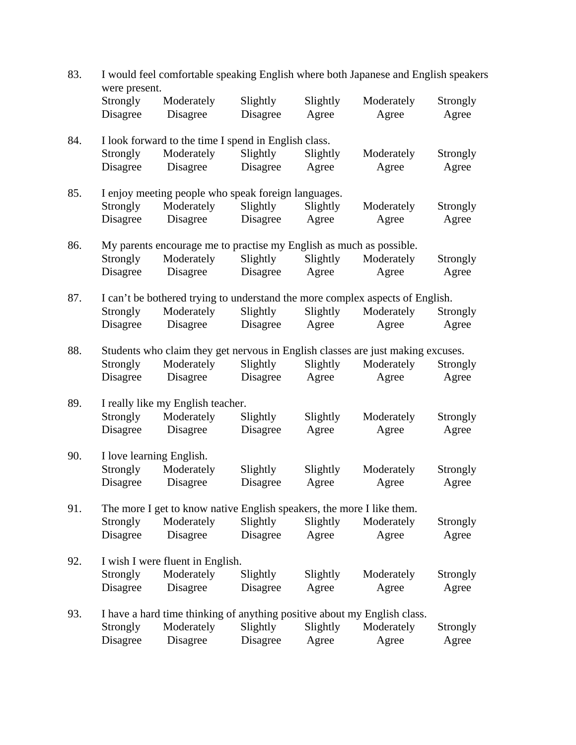| 83. | I would feel comfortable speaking English where both Japanese and English speakers<br>were present. |                                                                                 |                      |                   |                     |                   |  |  |
|-----|-----------------------------------------------------------------------------------------------------|---------------------------------------------------------------------------------|----------------------|-------------------|---------------------|-------------------|--|--|
|     | Strongly<br>Disagree                                                                                | Moderately<br>Disagree                                                          | Slightly<br>Disagree | Slightly<br>Agree | Moderately<br>Agree | Strongly<br>Agree |  |  |
|     |                                                                                                     |                                                                                 |                      |                   |                     |                   |  |  |
| 84. |                                                                                                     | I look forward to the time I spend in English class.                            |                      |                   |                     |                   |  |  |
|     | Strongly                                                                                            | Moderately                                                                      | Slightly             | Slightly          | Moderately          | Strongly          |  |  |
|     | Disagree                                                                                            | Disagree                                                                        | Disagree             | Agree             | Agree               | Agree             |  |  |
| 85. | I enjoy meeting people who speak foreign languages.                                                 |                                                                                 |                      |                   |                     |                   |  |  |
|     | Strongly                                                                                            | Moderately                                                                      | Slightly             | Slightly          | Moderately          | Strongly          |  |  |
|     | Disagree                                                                                            | Disagree                                                                        | Disagree             | Agree             | Agree               | Agree             |  |  |
| 86. |                                                                                                     | My parents encourage me to practise my English as much as possible.             |                      |                   |                     |                   |  |  |
|     | Strongly                                                                                            | Moderately                                                                      | Slightly             | Slightly          | Moderately          | Strongly          |  |  |
|     | Disagree                                                                                            | Disagree                                                                        | Disagree             | Agree             | Agree               | Agree             |  |  |
| 87. |                                                                                                     | I can't be bothered trying to understand the more complex aspects of English.   |                      |                   |                     |                   |  |  |
|     | <b>Strongly</b>                                                                                     | Moderately                                                                      | Slightly             | Slightly          | Moderately          | Strongly          |  |  |
|     | Disagree                                                                                            | Disagree                                                                        | Disagree             | Agree             | Agree               | Agree             |  |  |
| 88. |                                                                                                     | Students who claim they get nervous in English classes are just making excuses. |                      |                   |                     |                   |  |  |
|     | Strongly                                                                                            | Moderately                                                                      | Slightly             | Slightly          | Moderately          | Strongly          |  |  |
|     | Disagree                                                                                            | Disagree                                                                        | Disagree             | Agree             | Agree               | Agree             |  |  |
| 89. | I really like my English teacher.                                                                   |                                                                                 |                      |                   |                     |                   |  |  |
|     | Strongly                                                                                            | Moderately                                                                      | Slightly             | Slightly          | Moderately          | Strongly          |  |  |
|     | Disagree                                                                                            | Disagree                                                                        | Disagree             | Agree             | Agree               | Agree             |  |  |
| 90. | I love learning English.                                                                            |                                                                                 |                      |                   |                     |                   |  |  |
|     | Strongly                                                                                            | Moderately                                                                      | Slightly             | Slightly          | Moderately          | Strongly          |  |  |
|     | Disagree                                                                                            | Disagree                                                                        | Disagree             | Agree             | Agree               | Agree             |  |  |
| 91. | The more I get to know native English speakers, the more I like them.                               |                                                                                 |                      |                   |                     |                   |  |  |
|     | Strongly                                                                                            | Moderately                                                                      | Slightly             | Slightly          | Moderately          | Strongly          |  |  |
|     | Disagree                                                                                            | Disagree                                                                        | Disagree             | Agree             | Agree               | Agree             |  |  |
| 92. |                                                                                                     | I wish I were fluent in English.                                                |                      |                   |                     |                   |  |  |
|     | Strongly                                                                                            | Moderately                                                                      | Slightly             | Slightly          | Moderately          | Strongly          |  |  |
|     | Disagree                                                                                            | Disagree                                                                        | Disagree             | Agree             | Agree               | Agree             |  |  |
| 93. |                                                                                                     | I have a hard time thinking of anything positive about my English class.        |                      |                   |                     |                   |  |  |
|     | Strongly                                                                                            | Moderately                                                                      | Slightly             | Slightly          | Moderately          | Strongly          |  |  |
|     | Disagree                                                                                            | Disagree                                                                        | Disagree             | Agree             | Agree               | Agree             |  |  |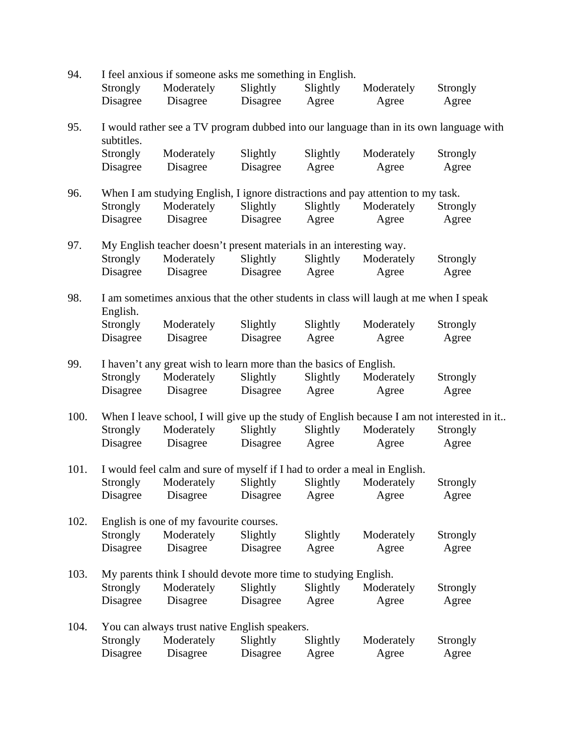| 94.  | I feel anxious if someone asks me something in English.                                    |                                                                                       |          |          |            |                                                                                        |  |  |
|------|--------------------------------------------------------------------------------------------|---------------------------------------------------------------------------------------|----------|----------|------------|----------------------------------------------------------------------------------------|--|--|
|      | <b>Strongly</b>                                                                            | Moderately                                                                            | Slightly | Slightly | Moderately | Strongly                                                                               |  |  |
|      | Disagree                                                                                   | Disagree                                                                              | Disagree | Agree    | Agree      | Agree                                                                                  |  |  |
| 95.  | subtitles.                                                                                 |                                                                                       |          |          |            | I would rather see a TV program dubbed into our language than in its own language with |  |  |
|      | Strongly                                                                                   | Moderately                                                                            | Slightly | Slightly | Moderately | Strongly                                                                               |  |  |
|      | Disagree                                                                                   | Disagree                                                                              | Disagree | Agree    | Agree      | Agree                                                                                  |  |  |
| 96.  | When I am studying English, I ignore distractions and pay attention to my task.            |                                                                                       |          |          |            |                                                                                        |  |  |
|      | Strongly                                                                                   | Moderately                                                                            | Slightly | Slightly | Moderately | Strongly                                                                               |  |  |
|      | Disagree                                                                                   | Disagree                                                                              | Disagree | Agree    | Agree      | Agree                                                                                  |  |  |
| 97.  |                                                                                            | My English teacher doesn't present materials in an interesting way.                   |          |          |            |                                                                                        |  |  |
|      | <b>Strongly</b>                                                                            | Moderately                                                                            | Slightly | Slightly | Moderately | Strongly                                                                               |  |  |
|      | Disagree                                                                                   | Disagree                                                                              | Disagree | Agree    | Agree      | Agree                                                                                  |  |  |
| 98.  | English.                                                                                   | I am sometimes anxious that the other students in class will laugh at me when I speak |          |          |            |                                                                                        |  |  |
|      | Strongly                                                                                   | Moderately                                                                            | Slightly | Slightly | Moderately | Strongly                                                                               |  |  |
|      | Disagree                                                                                   | Disagree                                                                              | Disagree | Agree    | Agree      | Agree                                                                                  |  |  |
| 99.  | I haven't any great wish to learn more than the basics of English.                         |                                                                                       |          |          |            |                                                                                        |  |  |
|      | Strongly                                                                                   | Moderately                                                                            | Slightly | Slightly | Moderately | Strongly                                                                               |  |  |
|      | Disagree                                                                                   | Disagree                                                                              | Disagree | Agree    | Agree      | Agree                                                                                  |  |  |
| 100. | When I leave school, I will give up the study of English because I am not interested in it |                                                                                       |          |          |            |                                                                                        |  |  |
|      | Strongly                                                                                   | Moderately                                                                            | Slightly | Slightly | Moderately | Strongly                                                                               |  |  |
|      | Disagree                                                                                   | Disagree                                                                              | Disagree | Agree    | Agree      | Agree                                                                                  |  |  |
| 101. | I would feel calm and sure of myself if I had to order a meal in English.                  |                                                                                       |          |          |            |                                                                                        |  |  |
|      | Strongly                                                                                   | Moderately                                                                            | Slightly | Slightly | Moderately | Strongly                                                                               |  |  |
|      | Disagree                                                                                   | Disagree                                                                              | Disagree | Agree    | Agree      | Agree                                                                                  |  |  |
| 102. |                                                                                            | English is one of my favourite courses.                                               |          |          |            |                                                                                        |  |  |
|      | Strongly                                                                                   | Moderately                                                                            | Slightly | Slightly | Moderately | Strongly                                                                               |  |  |
|      | Disagree                                                                                   | Disagree                                                                              | Disagree | Agree    | Agree      | Agree                                                                                  |  |  |
| 103. |                                                                                            | My parents think I should devote more time to studying English.                       |          |          |            |                                                                                        |  |  |
|      | Strongly                                                                                   | Moderately                                                                            | Slightly | Slightly | Moderately | Strongly                                                                               |  |  |
|      | Disagree                                                                                   | Disagree                                                                              | Disagree | Agree    | Agree      | Agree                                                                                  |  |  |
| 104. |                                                                                            | You can always trust native English speakers.                                         |          |          |            |                                                                                        |  |  |
|      | Strongly                                                                                   | Moderately                                                                            | Slightly | Slightly | Moderately | Strongly                                                                               |  |  |
|      | Disagree                                                                                   | Disagree                                                                              | Disagree | Agree    | Agree      | Agree                                                                                  |  |  |